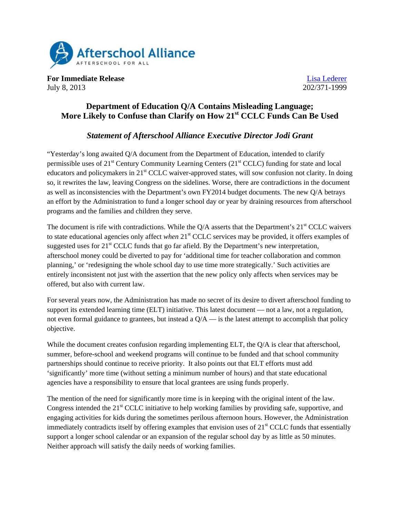

**For Immediate Release** Lisa Lederer July 8, 2013 202/371-1999

## **Department of Education Q/A Contains Misleading Language; More Likely to Confuse than Clarify on How 21st CCLC Funds Can Be Used**

## *Statement of Afterschool Alliance Executive Director Jodi Grant*

"Yesterday's long awaited Q/A document from the Department of Education, intended to clarify permissible uses of 21<sup>st</sup> Century Community Learning Centers (21<sup>st</sup> CCLC) funding for state and local educators and policymakers in 21<sup>st</sup> CCLC waiver-approved states, will sow confusion not clarity. In doing so, it rewrites the law, leaving Congress on the sidelines. Worse, there are contradictions in the document as well as inconsistencies with the Department's own FY2014 budget documents. The new Q/A betrays an effort by the Administration to fund a longer school day or year by draining resources from afterschool programs and the families and children they serve.

The document is rife with contradictions. While the  $Q/A$  asserts that the Department's  $21<sup>st</sup> CCLC$  waivers to state educational agencies only affect *when* 21st CCLC services may be provided, it offers examples of suggested uses for  $21<sup>st</sup>$  CCLC funds that go far afield. By the Department's new interpretation, afterschool money could be diverted to pay for 'additional time for teacher collaboration and common planning,' or 'redesigning the whole school day to use time more strategically.' Such activities are entirely inconsistent not just with the assertion that the new policy only affects when services may be offered, but also with current law.

For several years now, the Administration has made no secret of its desire to divert afterschool funding to support its extended learning time (ELT) initiative. This latest document — not a law, not a regulation, not even formal guidance to grantees, but instead a  $Q/A$  — is the latest attempt to accomplish that policy objective.

While the document creates confusion regarding implementing ELT, the Q/A is clear that afterschool, summer, before-school and weekend programs will continue to be funded and that school community partnerships should continue to receive priority. It also points out that ELT efforts must add 'significantly' more time (without setting a minimum number of hours) and that state educational agencies have a responsibility to ensure that local grantees are using funds properly.

The mention of the need for significantly more time is in keeping with the original intent of the law. Congress intended the  $21<sup>st</sup> CCLC$  initiative to help working families by providing safe, supportive, and engaging activities for kids during the sometimes perilous afternoon hours. However, the Administration immediately contradicts itself by offering examples that envision uses of 21<sup>st</sup> CCLC funds that essentially support a longer school calendar or an expansion of the regular school day by as little as 50 minutes. Neither approach will satisfy the daily needs of working families.